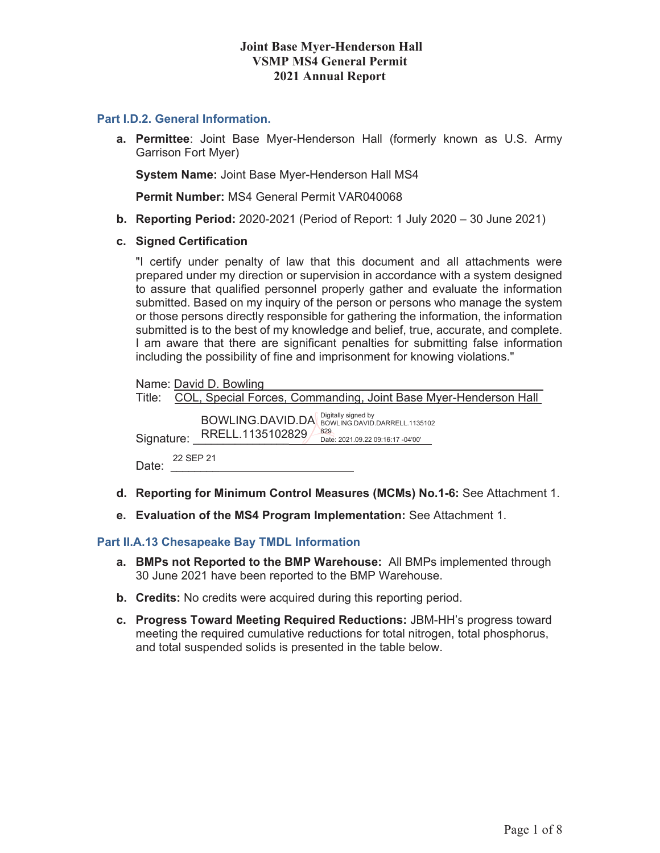#### **Joint Base Myer-Henderson Hall VSMP MS4 General Permit 2021 Annual Report**

#### **Part I.D.2. General Information.**

**a. Permittee**: Joint Base Myer-Henderson Hall (formerly known as U.S. Army Garrison Fort Myer)

**System Name:** Joint Base Myer-Henderson Hall MS4

**Permit Number:** MS4 General Permit VAR040068

- **b. Reporting Period:** 2020-2021 (Period of Report: 1 July 2020 30 June 2021)
- **c. Signed Certification**

"I certify under penalty of law that this document and all attachments were prepared under my direction or supervision in accordance with a system designed to assure that qualified personnel properly gather and evaluate the information submitted. Based on my inquiry of the person or persons who manage the system or those persons directly responsible for gathering the information, the information submitted is to the best of my knowledge and belief, true, accurate, and complete. I am aware that there are significant penalties for submitting false information including the possibility of fine and imprisonment for knowing violations."

|                    | Name: David D. Bowling                                                                                         |
|--------------------|----------------------------------------------------------------------------------------------------------------|
|                    | Title: COL, Special Forces, Commanding, Joint Base Myer-Henderson Hall                                         |
| Signature:         | BOWLING.DAVID.DA BOWLING.DAVID.DARRELL.1135102<br>829<br>RRELL.1135102829<br>Date: 2021.09.22 09:16:17 -04'00' |
| 22 SEP 21<br>Date: |                                                                                                                |

- **d. Reporting for Minimum Control Measures (MCMs) No.1-6:** See Attachment 1.
- **e. Evaluation of the MS4 Program Implementation:** See Attachment 1.

#### **Part II.A.13 Chesapeake Bay TMDL Information**

- **a. BMPs not Reported to the BMP Warehouse:** All BMPs implemented through 30 June 2021 have been reported to the BMP Warehouse.
- **b. Credits:** No credits were acquired during this reporting period.
- **c. Progress Toward Meeting Required Reductions:** JBM-HH's progress toward meeting the required cumulative reductions for total nitrogen, total phosphorus, and total suspended solids is presented in the table below.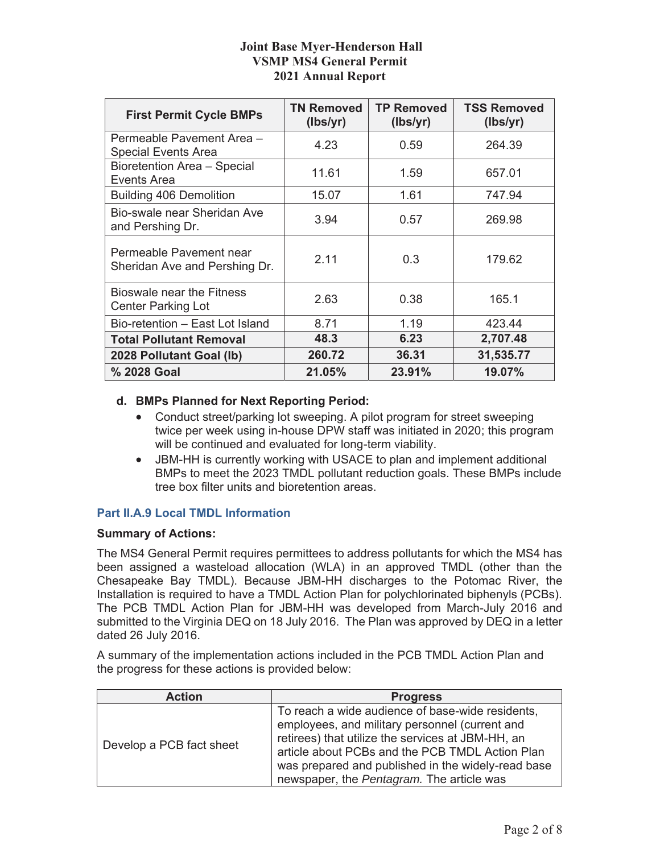### **Joint Base Myer-Henderson Hall VSMP MS4 General Permit 2021 Annual Report**

| <b>First Permit Cycle BMPs</b>                           | <b>TN Removed</b><br>(lbs/yr) | <b>TP Removed</b><br>(lbs/yr) | <b>TSS Removed</b><br>(lbs/yr) |
|----------------------------------------------------------|-------------------------------|-------------------------------|--------------------------------|
| Permeable Pavement Area -<br><b>Special Events Area</b>  | 4.23                          | 0.59                          | 264.39                         |
| Bioretention Area - Special<br>Events Area               | 11.61                         | 1.59                          | 657.01                         |
| <b>Building 406 Demolition</b>                           | 15.07                         | 1.61                          | 747.94                         |
| Bio-swale near Sheridan Ave<br>and Pershing Dr.          | 3.94                          | 0.57                          | 269.98                         |
| Permeable Pavement near<br>Sheridan Ave and Pershing Dr. | 2.11                          | 0.3                           | 179.62                         |
| Bioswale near the Fitness<br><b>Center Parking Lot</b>   | 2.63                          | 0.38                          | 165.1                          |
| Bio-retention - East Lot Island                          | 8.71                          | 1.19                          | 423.44                         |
| <b>Total Pollutant Removal</b>                           | 48.3                          | 6.23                          | 2,707.48                       |
| 2028 Pollutant Goal (lb)                                 | 260.72                        | 36.31                         | 31,535.77                      |
| % 2028 Goal                                              | 21.05%                        | 23.91%                        | 19.07%                         |

### **d. BMPs Planned for Next Reporting Period:**

- Conduct street/parking lot sweeping. A pilot program for street sweeping twice per week using in-house DPW staff was initiated in 2020; this program will be continued and evaluated for long-term viability.
- JBM-HH is currently working with USACE to plan and implement additional BMPs to meet the 2023 TMDL pollutant reduction goals. These BMPs include tree box filter units and bioretention areas.

### **Part II.A.9 Local TMDL Information**

#### **Summary of Actions:**

The MS4 General Permit requires permittees to address pollutants for which the MS4 has been assigned a wasteload allocation (WLA) in an approved TMDL (other than the Chesapeake Bay TMDL). Because JBM-HH discharges to the Potomac River, the Installation is required to have a TMDL Action Plan for polychlorinated biphenyls (PCBs). The PCB TMDL Action Plan for JBM-HH was developed from March-July 2016 and submitted to the Virginia DEQ on 18 July 2016. The Plan was approved by DEQ in a letter dated 26 July 2016.

A summary of the implementation actions included in the PCB TMDL Action Plan and the progress for these actions is provided below:

| <b>Action</b>            | <b>Progress</b>                                                                                                                                                                                                                                                                                               |
|--------------------------|---------------------------------------------------------------------------------------------------------------------------------------------------------------------------------------------------------------------------------------------------------------------------------------------------------------|
| Develop a PCB fact sheet | To reach a wide audience of base-wide residents,<br>employees, and military personnel (current and<br>retirees) that utilize the services at JBM-HH, an<br>article about PCBs and the PCB TMDL Action Plan<br>was prepared and published in the widely-read base<br>newspaper, the Pentagram. The article was |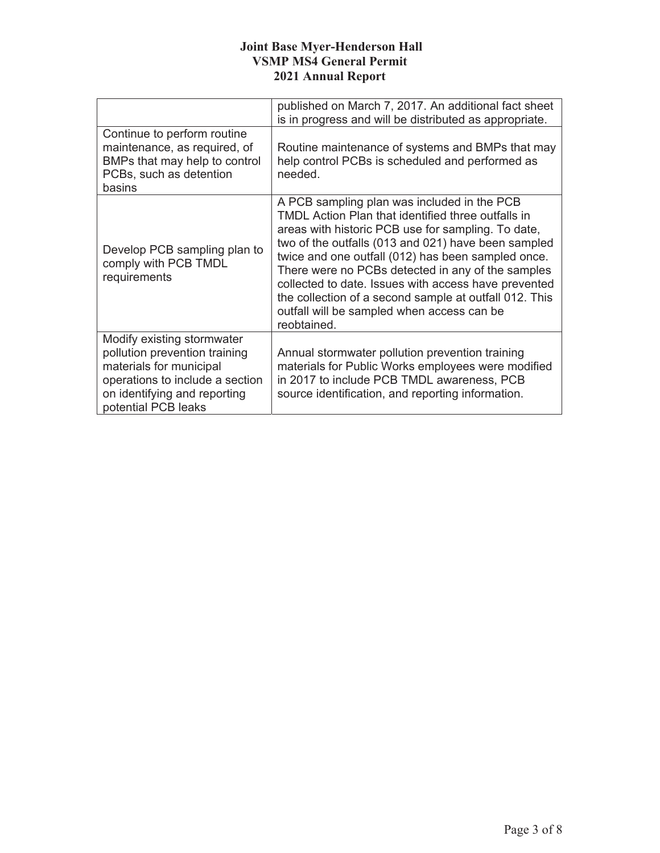### **Joint Base Myer-Henderson Hall VSMP MS4 General Permit 2021 Annual Report**

|                                                                                                                                                                                  | published on March 7, 2017. An additional fact sheet<br>is in progress and will be distributed as appropriate.                                                                                                                                                                                                                                                                                                                                                                                                  |
|----------------------------------------------------------------------------------------------------------------------------------------------------------------------------------|-----------------------------------------------------------------------------------------------------------------------------------------------------------------------------------------------------------------------------------------------------------------------------------------------------------------------------------------------------------------------------------------------------------------------------------------------------------------------------------------------------------------|
| Continue to perform routine<br>maintenance, as required, of<br>BMPs that may help to control<br>PCBs, such as detention<br>basins                                                | Routine maintenance of systems and BMPs that may<br>help control PCBs is scheduled and performed as<br>needed.                                                                                                                                                                                                                                                                                                                                                                                                  |
| Develop PCB sampling plan to<br>comply with PCB TMDL<br>requirements                                                                                                             | A PCB sampling plan was included in the PCB<br><b>TMDL Action Plan that identified three outfalls in</b><br>areas with historic PCB use for sampling. To date,<br>two of the outfalls (013 and 021) have been sampled<br>twice and one outfall (012) has been sampled once.<br>There were no PCBs detected in any of the samples<br>collected to date. Issues with access have prevented<br>the collection of a second sample at outfall 012. This<br>outfall will be sampled when access can be<br>reobtained. |
| Modify existing stormwater<br>pollution prevention training<br>materials for municipal<br>operations to include a section<br>on identifying and reporting<br>potential PCB leaks | Annual stormwater pollution prevention training<br>materials for Public Works employees were modified<br>in 2017 to include PCB TMDL awareness, PCB<br>source identification, and reporting information.                                                                                                                                                                                                                                                                                                        |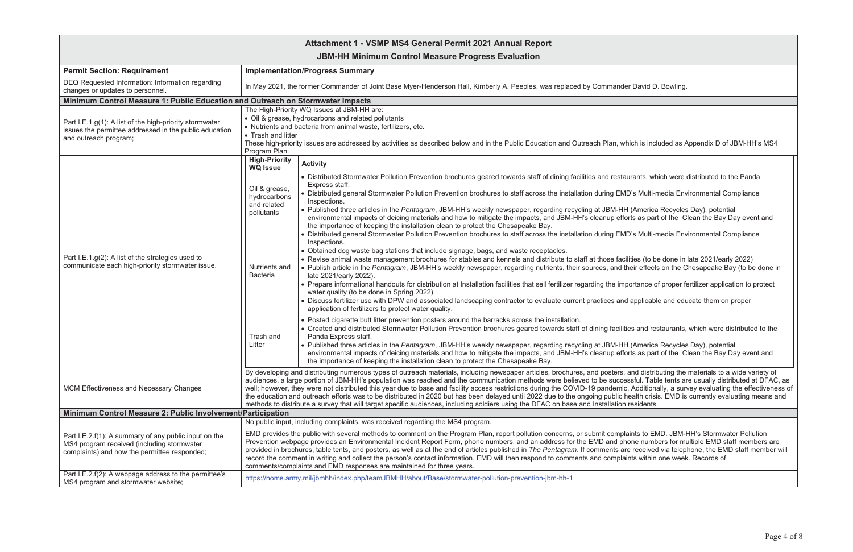|                                                                                                       |                                                                                                                                                     |                                                                                                                                                                                                                                                                                                                                                                                                                                                                                                                                                                                                                                                                                                                                                         | Attachment 1 - VSMP MS4 General Permit 2021 Annual Report                                                                                                                                                                                                                                                                                                                                                                                                                                                                                                                                                                                                                                                                                                                                                                                                                                                              |  |
|-------------------------------------------------------------------------------------------------------|-----------------------------------------------------------------------------------------------------------------------------------------------------|---------------------------------------------------------------------------------------------------------------------------------------------------------------------------------------------------------------------------------------------------------------------------------------------------------------------------------------------------------------------------------------------------------------------------------------------------------------------------------------------------------------------------------------------------------------------------------------------------------------------------------------------------------------------------------------------------------------------------------------------------------|------------------------------------------------------------------------------------------------------------------------------------------------------------------------------------------------------------------------------------------------------------------------------------------------------------------------------------------------------------------------------------------------------------------------------------------------------------------------------------------------------------------------------------------------------------------------------------------------------------------------------------------------------------------------------------------------------------------------------------------------------------------------------------------------------------------------------------------------------------------------------------------------------------------------|--|
|                                                                                                       |                                                                                                                                                     |                                                                                                                                                                                                                                                                                                                                                                                                                                                                                                                                                                                                                                                                                                                                                         | <b>JBM-HH Minimum Control Measure Progress Evaluation</b>                                                                                                                                                                                                                                                                                                                                                                                                                                                                                                                                                                                                                                                                                                                                                                                                                                                              |  |
|                                                                                                       | <b>Permit Section: Requirement</b>                                                                                                                  | <b>Implementation/Progress Summary</b>                                                                                                                                                                                                                                                                                                                                                                                                                                                                                                                                                                                                                                                                                                                  |                                                                                                                                                                                                                                                                                                                                                                                                                                                                                                                                                                                                                                                                                                                                                                                                                                                                                                                        |  |
|                                                                                                       | DEQ Requested Information: Information regarding<br>changes or updates to personnel.                                                                | In May 2021, the former Commander of Joint Base Myer-Henderson Hall, Kimberly A. Peeples, was replaced by Commander David D. Bowling.                                                                                                                                                                                                                                                                                                                                                                                                                                                                                                                                                                                                                   |                                                                                                                                                                                                                                                                                                                                                                                                                                                                                                                                                                                                                                                                                                                                                                                                                                                                                                                        |  |
|                                                                                                       | Minimum Control Measure 1: Public Education and Outreach on Stormwater Impacts                                                                      |                                                                                                                                                                                                                                                                                                                                                                                                                                                                                                                                                                                                                                                                                                                                                         |                                                                                                                                                                                                                                                                                                                                                                                                                                                                                                                                                                                                                                                                                                                                                                                                                                                                                                                        |  |
|                                                                                                       | Part I.E.1.g(1): A list of the high-priority stormwater<br>issues the permittee addressed in the public education<br>and outreach program;          | The High-Priority WQ Issues at JBM-HH are:<br>• Oil & grease, hydrocarbons and related pollutants<br>• Nutrients and bacteria from animal waste, fertilizers, etc.<br>• Trash and litter<br>These high-priority issues are addressed by activities as described below and in the Public Education and Outreach Plan, which is included as A<br>Program Plan.                                                                                                                                                                                                                                                                                                                                                                                            |                                                                                                                                                                                                                                                                                                                                                                                                                                                                                                                                                                                                                                                                                                                                                                                                                                                                                                                        |  |
|                                                                                                       |                                                                                                                                                     | <b>High-Priority</b><br><b>WQ Issue</b>                                                                                                                                                                                                                                                                                                                                                                                                                                                                                                                                                                                                                                                                                                                 | <b>Activity</b>                                                                                                                                                                                                                                                                                                                                                                                                                                                                                                                                                                                                                                                                                                                                                                                                                                                                                                        |  |
| Part I.E.1.g(2): A list of the strategies used to<br>communicate each high-priority stormwater issue. |                                                                                                                                                     | Oil & grease,<br>hydrocarbons<br>and related<br>pollutants                                                                                                                                                                                                                                                                                                                                                                                                                                                                                                                                                                                                                                                                                              | • Distributed Stormwater Pollution Prevention brochures geared towards staff of dining facilities and restaurants, which were c<br>Express staff.<br>• Distributed general Stormwater Pollution Prevention brochures to staff across the installation during EMD's Multi-media Envi<br>Inspections.<br>. Published three articles in the Pentagram, JBM-HH's weekly newspaper, regarding recycling at JBM-HH (America Recycles<br>environmental impacts of deicing materials and how to mitigate the impacts, and JBM-HH's cleanup efforts as part of the Cl<br>the importance of keeping the installation clean to protect the Chesapeake Bay.                                                                                                                                                                                                                                                                        |  |
|                                                                                                       |                                                                                                                                                     | Nutrients and<br><b>Bacteria</b>                                                                                                                                                                                                                                                                                                                                                                                                                                                                                                                                                                                                                                                                                                                        | • Distributed general Stormwater Pollution Prevention brochures to staff across the installation during EMD's Multi-media Envi<br>Inspections.<br>• Obtained dog waste bag stations that include signage, bags, and waste receptacles.<br>. Revise animal waste management brochures for stables and kennels and distribute to staff at those facilities (to be done in I<br>. Publish article in the Pentagram, JBM-HH's weekly newspaper, regarding nutrients, their sources, and their effects on the CI<br>late 2021/early 2022).<br>• Prepare informational handouts for distribution at Installation facilities that sell fertilizer regarding the importance of proper fe<br>water quality (to be done in Spring 2022).<br>• Discuss fertilizer use with DPW and associated landscaping contractor to evaluate current practices and applicable and edu<br>application of fertilizers to protect water quality. |  |
|                                                                                                       |                                                                                                                                                     | Trash and<br>Litter                                                                                                                                                                                                                                                                                                                                                                                                                                                                                                                                                                                                                                                                                                                                     | • Posted cigarette butt litter prevention posters around the barracks across the installation.<br>• Created and distributed Stormwater Pollution Prevention brochures geared towards staff of dining facilities and restaurants,<br>Panda Express staff.<br>. Published three articles in the Pentagram, JBM-HH's weekly newspaper, regarding recycling at JBM-HH (America Recycles<br>environmental impacts of deicing materials and how to mitigate the impacts, and JBM-HH's cleanup efforts as part of the CI<br>the importance of keeping the installation clean to protect the Chesapeake Bay.                                                                                                                                                                                                                                                                                                                   |  |
|                                                                                                       | <b>MCM Effectiveness and Necessary Changes</b>                                                                                                      | By developing and distributing numerous types of outreach materials, including newspaper articles, brochures, and posters, and distributing the i<br>audiences, a large portion of JBM-HH's population was reached and the communication methods were believed to be successful. Table tents and<br>well; however, they were not distributed this year due to base and facility access restrictions during the COVID-19 pandemic. Additionally, a surv<br>the education and outreach efforts was to be distributed in 2020 but has been delayed until 2022 due to the ongoing public health crisis. EMD is<br>methods to distribute a survey that will target specific audiences, including soldiers using the DFAC on base and Installation residents. |                                                                                                                                                                                                                                                                                                                                                                                                                                                                                                                                                                                                                                                                                                                                                                                                                                                                                                                        |  |
|                                                                                                       | Minimum Control Measure 2: Public Involvement/Participation                                                                                         |                                                                                                                                                                                                                                                                                                                                                                                                                                                                                                                                                                                                                                                                                                                                                         |                                                                                                                                                                                                                                                                                                                                                                                                                                                                                                                                                                                                                                                                                                                                                                                                                                                                                                                        |  |
|                                                                                                       | Part I.E.2.f(1): A summary of any public input on the<br>MS4 program received (including stormwater<br>complaints) and how the permittee responded; | No public input, including complaints, was received regarding the MS4 program.<br>EMD provides the public with several methods to comment on the Program Plan, report pollution concerns, or submit complaints to EMD. JBM-H<br>Prevention webpage provides an Environmental Incident Report Form, phone numbers, and an address for the EMD and phone numbers for mu<br>provided in brochures, table tents, and posters, as well as at the end of articles published in The Pentagram. If comments are received via teleph<br>record the comment in writing and collect the person's contact information. EMD will then respond to comments and complaints within one week<br>comments/complaints and EMD responses are maintained for three years.    |                                                                                                                                                                                                                                                                                                                                                                                                                                                                                                                                                                                                                                                                                                                                                                                                                                                                                                                        |  |
|                                                                                                       | Part I.E.2.f(2): A webpage address to the permittee's<br>MS4 program and stormwater website;                                                        | https://home.army.mil/jbmhh/index.php/teamJBMHH/about/Base/stormwater-pollution-prevention-jbm-hh-1                                                                                                                                                                                                                                                                                                                                                                                                                                                                                                                                                                                                                                                     |                                                                                                                                                                                                                                                                                                                                                                                                                                                                                                                                                                                                                                                                                                                                                                                                                                                                                                                        |  |

hich is included as Appendix D of JBM-HH's MS4

aurants, which were distributed to the Panda

MD's Multi-media Environmental Compliance

1H (America Recycles Day), potential forts as part of the Clean the Bay Day event and

MD's Multi-media Environmental Compliance

cilities (to be done in late 2021/early 2022) their effects on the Chesapeake Bay (to be done in

nportance of proper fertilizer application to protect

nd applicable and educate them on proper

ities and restaurants, which were distributed to the

**IH (America Recycles Day), potential** forts as part of the Clean the Bay Day event and

, and distributing the materials to a wide variety of essful. Table tents are usually distributed at DFAC, as ic. Additionally, a survey evaluating the effectiveness of health crisis. EMD is currently evaluating means and<br>n residents.

laints to EMD. JBM-HH's Stormwater Pollution hone numbers for multiple EMD staff members are are received via telephone, the EMD staff member will aints within one week. Records of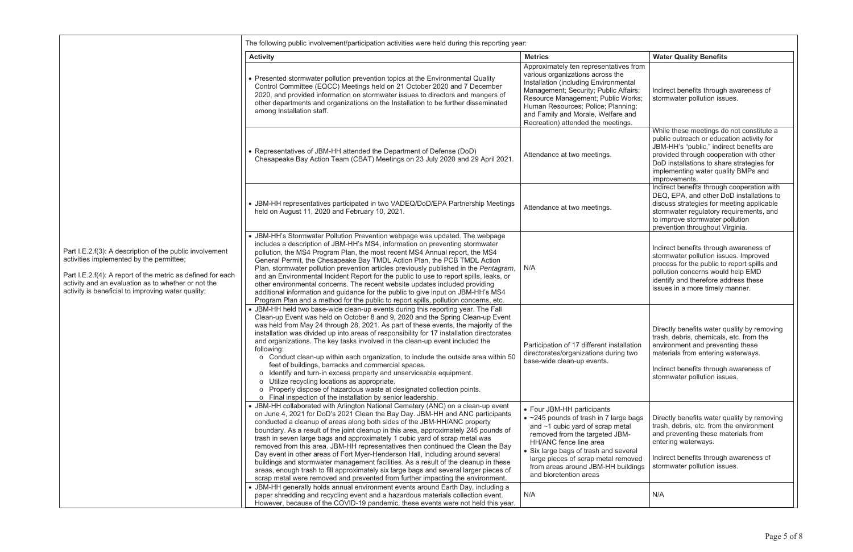|                                                                                                                                                                                                                                                                                  | The following public involvement/participation activities were held during this reporting year:                                                                                                                                                                                                                                                                                                                                                                                                                                                                                                                                                                                                                                                                                                                                                                    |                                                                                                                                                                                                                                                                                                                                    |                                                                                                                                                                                                                                                                                   |  |
|----------------------------------------------------------------------------------------------------------------------------------------------------------------------------------------------------------------------------------------------------------------------------------|--------------------------------------------------------------------------------------------------------------------------------------------------------------------------------------------------------------------------------------------------------------------------------------------------------------------------------------------------------------------------------------------------------------------------------------------------------------------------------------------------------------------------------------------------------------------------------------------------------------------------------------------------------------------------------------------------------------------------------------------------------------------------------------------------------------------------------------------------------------------|------------------------------------------------------------------------------------------------------------------------------------------------------------------------------------------------------------------------------------------------------------------------------------------------------------------------------------|-----------------------------------------------------------------------------------------------------------------------------------------------------------------------------------------------------------------------------------------------------------------------------------|--|
|                                                                                                                                                                                                                                                                                  | <b>Activity</b>                                                                                                                                                                                                                                                                                                                                                                                                                                                                                                                                                                                                                                                                                                                                                                                                                                                    | <b>Metrics</b>                                                                                                                                                                                                                                                                                                                     | <b>Water Quality Benefits</b>                                                                                                                                                                                                                                                     |  |
|                                                                                                                                                                                                                                                                                  | • Presented stormwater pollution prevention topics at the Environmental Quality<br>Control Committee (EQCC) Meetings held on 21 October 2020 and 7 December<br>2020, and provided information on stormwater issues to directors and mangers of<br>other departments and organizations on the Installation to be further disseminated<br>among Installation staff.                                                                                                                                                                                                                                                                                                                                                                                                                                                                                                  | Approximately ten representatives from<br>various organizations across the<br>Installation (including Environmental<br>Management; Security; Public Affairs;<br>Resource Management; Public Works;<br>Human Resources; Police; Planning;<br>and Family and Morale, Welfare and<br>Recreation) attended the meetings.               | Indirect benefits through awareness of<br>stormwater pollution issues.                                                                                                                                                                                                            |  |
|                                                                                                                                                                                                                                                                                  | • Representatives of JBM-HH attended the Department of Defense (DoD)<br>Chesapeake Bay Action Team (CBAT) Meetings on 23 July 2020 and 29 April 2021.                                                                                                                                                                                                                                                                                                                                                                                                                                                                                                                                                                                                                                                                                                              | Attendance at two meetings.                                                                                                                                                                                                                                                                                                        | While these meetings do not constitute a<br>public outreach or education activity for<br>JBM-HH's "public," indirect benefits are<br>provided through cooperation with other<br>DoD installations to share strategies for<br>implementing water quality BMPs and<br>improvements. |  |
|                                                                                                                                                                                                                                                                                  | • JBM-HH representatives participated in two VADEQ/DoD/EPA Partnership Meetings<br>held on August 11, 2020 and February 10, 2021.                                                                                                                                                                                                                                                                                                                                                                                                                                                                                                                                                                                                                                                                                                                                  | Attendance at two meetings.                                                                                                                                                                                                                                                                                                        | Indirect benefits through cooperation with<br>DEQ, EPA, and other DoD installations to<br>discuss strategies for meeting applicable<br>stormwater regulatory requirements, and<br>to improve stormwater pollution<br>prevention throughout Virginia.                              |  |
| Part I.E.2.f(3): A description of the public involvement<br>activities implemented by the permittee;<br>Part I.E.2.f(4): A report of the metric as defined for each<br>activity and an evaluation as to whether or not the<br>activity is beneficial to improving water quality; | • JBM-HH's Stormwater Pollution Prevention webpage was updated. The webpage<br>includes a description of JBM-HH's MS4, information on preventing stormwater<br>pollution, the MS4 Program Plan, the most recent MS4 Annual report, the MS4<br>General Permit, the Chesapeake Bay TMDL Action Plan, the PCB TMDL Action<br>Plan, stormwater pollution prevention articles previously published in the Pentagram,<br>and an Environmental Incident Report for the public to use to report spills, leaks, or<br>other environmental concerns. The recent website updates included providing<br>additional information and guidance for the public to give input on JBM-HH's MS4<br>Program Plan and a method for the public to report spills, pollution concerns, etc.                                                                                                | N/A                                                                                                                                                                                                                                                                                                                                | Indirect benefits through awareness of<br>stormwater pollution issues. Improved<br>process for the public to report spills and<br>pollution concerns would help EMD<br>identify and therefore address these<br>issues in a more timely manner.                                    |  |
|                                                                                                                                                                                                                                                                                  | • JBM-HH held two base-wide clean-up events during this reporting year. The Fall<br>Clean-up Event was held on October 8 and 9, 2020 and the Spring Clean-up Event<br>was held from May 24 through 28, 2021. As part of these events, the majority of the<br>installation was divided up into areas of responsibility for 17 installation directorates<br>and organizations. The key tasks involved in the clean-up event included the<br>following:<br>o Conduct clean-up within each organization, to include the outside area within 50<br>feet of buildings, barracks and commercial spaces.<br>o Identify and turn-in excess property and unserviceable equipment.<br>o Utilize recycling locations as appropriate.<br>o Properly dispose of hazardous waste at designated collection points.<br>o Final inspection of the installation by senior leadership. | Participation of 17 different installation<br>directorates/organizations during two<br>base-wide clean-up events.                                                                                                                                                                                                                  | Directly benefits water quality by removing<br>trash, debris, chemicals, etc. from the<br>environment and preventing these<br>materials from entering waterways.<br>Indirect benefits through awareness of<br>stormwater pollution issues.                                        |  |
|                                                                                                                                                                                                                                                                                  | • JBM-HH collaborated with Arlington National Cemetery (ANC) on a clean-up event<br>on June 4, 2021 for DoD's 2021 Clean the Bay Day. JBM-HH and ANC participants<br>conducted a cleanup of areas along both sides of the JBM-HH/ANC property<br>boundary. As a result of the joint cleanup in this area, approximately 245 pounds of<br>trash in seven large bags and approximately 1 cubic yard of scrap metal was<br>removed from this area. JBM-HH representatives then continued the Clean the Bay<br>Day event in other areas of Fort Myer-Henderson Hall, including around several<br>buildings and stormwater management facilities. As a result of the cleanup in these<br>areas, enough trash to fill approximately six large bags and several larger pieces of<br>scrap metal were removed and prevented from further impacting the environment.        | • Four JBM-HH participants<br>$\bullet$ ~245 pounds of trash in 7 large bags<br>and $\sim$ 1 cubic yard of scrap metal<br>removed from the targeted JBM-<br>HH/ANC fence line area<br>• Six large bags of trash and several<br>large pieces of scrap metal removed<br>from areas around JBM-HH buildings<br>and bioretention areas | Directly benefits water quality by removing<br>trash, debris, etc. from the environment<br>and preventing these materials from<br>entering waterways.<br>Indirect benefits through awareness of<br>stormwater pollution issues.                                                   |  |
|                                                                                                                                                                                                                                                                                  | • JBM-HH generally holds annual environment events around Earth Day, including a<br>paper shredding and recycling event and a hazardous materials collection event.<br>However, because of the COVID-19 pandemic, these events were not held this year.                                                                                                                                                                                                                                                                                                                                                                                                                                                                                                                                                                                                            | N/A                                                                                                                                                                                                                                                                                                                                | N/A                                                                                                                                                                                                                                                                               |  |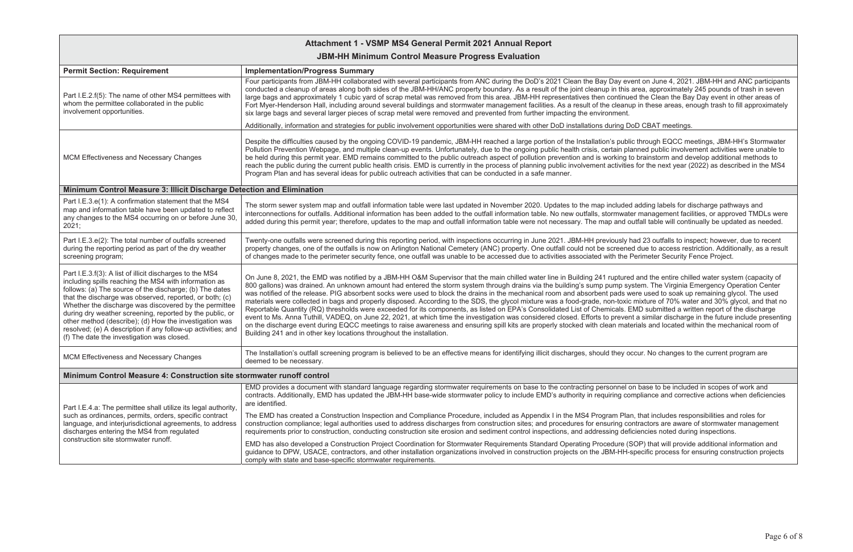# **Attachment 1 - VSMP MS4 General Permit 2021 Annual Report**

## **JBM-HH Minimum Control Measure Progress Evaluation**

| <b>Permit Section: Requirement</b>                                                                                                                                                                                                                                                                                                                                                                                                                                                                                                   | <b>Implementation/Progress Summary</b>                                                                                                                                                                                                                                                                                                                                                                                                                                                                                                                                                                                                                                                                                                                                                                                                                                                                                                                                                 |
|--------------------------------------------------------------------------------------------------------------------------------------------------------------------------------------------------------------------------------------------------------------------------------------------------------------------------------------------------------------------------------------------------------------------------------------------------------------------------------------------------------------------------------------|----------------------------------------------------------------------------------------------------------------------------------------------------------------------------------------------------------------------------------------------------------------------------------------------------------------------------------------------------------------------------------------------------------------------------------------------------------------------------------------------------------------------------------------------------------------------------------------------------------------------------------------------------------------------------------------------------------------------------------------------------------------------------------------------------------------------------------------------------------------------------------------------------------------------------------------------------------------------------------------|
| Part I.E.2.f(5): The name of other MS4 permittees with<br>whom the permittee collaborated in the public<br>involvement opportunities.                                                                                                                                                                                                                                                                                                                                                                                                | Four participants from JBM-HH collaborated with several participants from ANC during the DoD's 2021 Clean the Bay Day ev<br>conducted a cleanup of areas along both sides of the JBM-HH/ANC property boundary. As a result of the joint cleanup in this<br>large bags and approximately 1 cubic yard of scrap metal was removed from this area. JBM-HH representatives then continu<br>Fort Myer-Henderson Hall, including around several buildings and stormwater management facilities. As a result of the cleani<br>six large bags and several larger pieces of scrap metal were removed and prevented from further impacting the environment.                                                                                                                                                                                                                                                                                                                                      |
|                                                                                                                                                                                                                                                                                                                                                                                                                                                                                                                                      | Additionally, information and strategies for public involvement opportunities were shared with other DoD installations during D                                                                                                                                                                                                                                                                                                                                                                                                                                                                                                                                                                                                                                                                                                                                                                                                                                                        |
| <b>MCM Effectiveness and Necessary Changes</b>                                                                                                                                                                                                                                                                                                                                                                                                                                                                                       | Despite the difficulties caused by the ongoing COVID-19 pandemic, JBM-HH reached a large portion of the Installation's publ<br>Pollution Prevention Webpage, and multiple clean-up events. Unfortunately, due to the ongoing public health crisis, certain pl<br>be held during this permit year. EMD remains committed to the public outreach aspect of pollution prevention and is working<br>reach the public during the current public health crisis. EMD is currently in the process of planning public involvement activitie<br>Program Plan and has several ideas for public outreach activities that can be conducted in a safe manner.                                                                                                                                                                                                                                                                                                                                        |
| Minimum Control Measure 3: Illicit Discharge Detection and Elimination                                                                                                                                                                                                                                                                                                                                                                                                                                                               |                                                                                                                                                                                                                                                                                                                                                                                                                                                                                                                                                                                                                                                                                                                                                                                                                                                                                                                                                                                        |
| Part I.E.3.e(1): A confirmation statement that the MS4<br>map and information table have been updated to reflect<br>any changes to the MS4 occurring on or before June 30,<br>2021;                                                                                                                                                                                                                                                                                                                                                  | The storm sewer system map and outfall information table were last updated in November 2020. Updates to the map include<br>interconnections for outfalls. Additional information has been added to the outfall information table. No new outfalls, stormwat<br>added during this permit year; therefore, updates to the map and outfall information table were not necessary. The map and of                                                                                                                                                                                                                                                                                                                                                                                                                                                                                                                                                                                           |
| Part I.E.3.e(2): The total number of outfalls screened<br>during the reporting period as part of the dry weather<br>screening program;                                                                                                                                                                                                                                                                                                                                                                                               | Twenty-one outfalls were screened during this reporting period, with inspections occurring in June 2021. JBM-HH previously<br>property changes, one of the outfalls is now on Arlington National Cemetery (ANC) property. One outfall could not be screene<br>of changes made to the perimeter security fence, one outfall was unable to be accessed due to activities associated with the                                                                                                                                                                                                                                                                                                                                                                                                                                                                                                                                                                                             |
| Part I.E.3.f(3): A list of illicit discharges to the MS4<br>including spills reaching the MS4 with information as<br>follows: (a) The source of the discharge; (b) The dates<br>that the discharge was observed, reported, or both; (c)<br>Whether the discharge was discovered by the permittee<br>during dry weather screening, reported by the public, or<br>other method (describe); (d) How the investigation was<br>resolved; (e) A description if any follow-up activities; and<br>(f) The date the investigation was closed. | On June 8, 2021, the EMD was notified by a JBM-HH O&M Supervisor that the main chilled water line in Building 241 rupture<br>800 gallons) was drained. An unknown amount had entered the storm system through drains via the building's sump pump sy<br>was notified of the release. PIG absorbent socks were used to block the drains in the mechanical room and absorbent pads v<br>materials were collected in bags and properly disposed. According to the SDS, the glycol mixture was a food-grade, non-toxid<br>Reportable Quantity (RQ) thresholds were exceeded for its components, as listed on EPA's Consolidated List of Chemicals. I<br>event to Ms. Anna Tuthill, VADEQ, on June 22, 2021, at which time the investigation was considered closed. Efforts to prevei<br>on the discharge event during EQCC meetings to raise awareness and ensuring spill kits are properly stocked with clean mat<br>Building 241 and in other key locations throughout the installation. |
| MCM Effectiveness and Necessary Changes                                                                                                                                                                                                                                                                                                                                                                                                                                                                                              | The Installation's outfall screening program is believed to be an effective means for identifying illicit discharges, should they c<br>deemed to be necessary.                                                                                                                                                                                                                                                                                                                                                                                                                                                                                                                                                                                                                                                                                                                                                                                                                         |
| Minimum Control Measure 4: Construction site stormwater runoff control                                                                                                                                                                                                                                                                                                                                                                                                                                                               |                                                                                                                                                                                                                                                                                                                                                                                                                                                                                                                                                                                                                                                                                                                                                                                                                                                                                                                                                                                        |
| Part I.E.4.a: The permittee shall utilize its legal authority,                                                                                                                                                                                                                                                                                                                                                                                                                                                                       | EMD provides a document with standard language regarding stormwater requirements on base to the contracting personnel<br>contracts. Additionally, EMD has updated the JBM-HH base-wide stormwater policy to include EMD's authority in requiring co<br>are identified.                                                                                                                                                                                                                                                                                                                                                                                                                                                                                                                                                                                                                                                                                                                 |
| such as ordinances, permits, orders, specific contract<br>language, and interjurisdictional agreements, to address<br>discharges entering the MS4 from regulated                                                                                                                                                                                                                                                                                                                                                                     | The EMD has created a Construction Inspection and Compliance Procedure, included as Appendix I in the MS4 Program Pla<br>construction compliance; legal authorities used to address discharges from construction sites; and procedures for ensuring construction<br>requirements prior to construction, conducting construction site erosion and sediment control inspections, and addressing det                                                                                                                                                                                                                                                                                                                                                                                                                                                                                                                                                                                      |
| construction site stormwater runoff.                                                                                                                                                                                                                                                                                                                                                                                                                                                                                                 | EMD has also developed a Construction Project Coordination for Stormwater Requirements Standard Operating Procedure (<br>guidance to DPW, USACE, contractors, and other installation organizations involved in construction projects on the JBM-HH-<br>comply with state and base-specific stormwater requirements.                                                                                                                                                                                                                                                                                                                                                                                                                                                                                                                                                                                                                                                                    |

vent on June 4, 2021. JBM-HH and ANC participants area, approximately 245 pounds of trash in seven led the Clean the Bay Day event in other areas of iup in these areas, enough trash to fill approximately

**DoD CBAT meetings.** 

lic through EQCC meetings, JBM-HH's Stormwater lanned public involvement activities were unable to to brainstorm and develop additional methods to es for the next year (2022) as described in the MS4

d adding labels for discharge pathways and iter management facilities, or approved TMDLs were outfall table will continually be updated as needed.

had 23 outfalls to inspect; however, due to recent ed due to access restriction. Additionally, as a result Perimeter Security Fence Project.

ed and the entire chilled water system (capacity of ystem. The Virginia Emergency Operation Center were used to soak up remaining glycol. The used ic mixture of 70% water and 30% glycol, and that no EMD submitted a written report of the discharge Int a similar discharge in the future include presenting terials and located within the mechanical room of

occur. No changes to the current program are

on base to be included in scopes of work and ompliance and corrective actions when deficiencies

an, that includes responsibilities and roles for contractors are aware of stormwater management ficiencies noted during inspections.

(SOP) that will provide additional information and -specific process for ensuring construction projects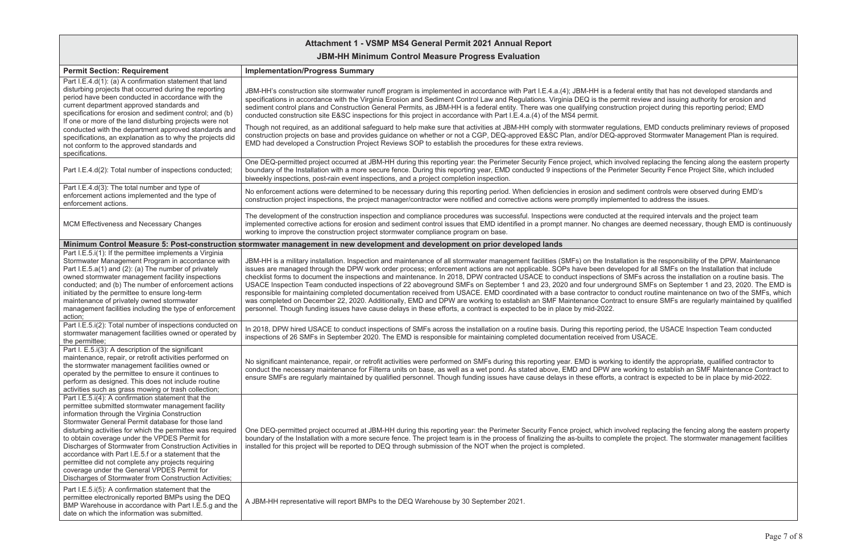## **Attachment 1 - VSMP MS4 General Permit 2021 Annual Report**

## **JBM-HH Minimum Control Measure Progress Evaluation**

| <b>Permit Section: Requirement</b>                                                                                                                                                                                                                                                                                                                                                                                                                                                                                                                                                                              | <b>Implementation/Progress Summary</b>                                                                                                                                                                                                                                                                                                                                                                                                                                                                                                                                                                                                                                                                                                                                                                                                                                                                                                                                                                                                                                                                                                                                             |
|-----------------------------------------------------------------------------------------------------------------------------------------------------------------------------------------------------------------------------------------------------------------------------------------------------------------------------------------------------------------------------------------------------------------------------------------------------------------------------------------------------------------------------------------------------------------------------------------------------------------|------------------------------------------------------------------------------------------------------------------------------------------------------------------------------------------------------------------------------------------------------------------------------------------------------------------------------------------------------------------------------------------------------------------------------------------------------------------------------------------------------------------------------------------------------------------------------------------------------------------------------------------------------------------------------------------------------------------------------------------------------------------------------------------------------------------------------------------------------------------------------------------------------------------------------------------------------------------------------------------------------------------------------------------------------------------------------------------------------------------------------------------------------------------------------------|
| Part I.E.4.d(1): (a) A confirmation statement that land<br>disturbing projects that occurred during the reporting<br>period have been conducted in accordance with the<br>current department approved standards and<br>specifications for erosion and sediment control; and (b)<br>If one or more of the land disturbing projects were not                                                                                                                                                                                                                                                                      | JBM-HH's construction site stormwater runoff program is implemented in accordance with Part I.E.4.a.(4); JBM-HH is a federal entity that has not developed standards and<br>specifications in accordance with the Virginia Erosion and Sediment Control Law and Regulations. Virginia DEQ is the permit review and issuing authority for erosion and<br>sediment control plans and Construction General Permits, as JBM-HH is a federal entity. There was one qualifying construction project during this reporting period; EMD<br>conducted construction site E&SC inspections for this project in accordance with Part I.E.4.a.(4) of the MS4 permit.                                                                                                                                                                                                                                                                                                                                                                                                                                                                                                                            |
| conducted with the department approved standards and<br>specifications, an explanation as to why the projects did<br>not conform to the approved standards and<br>specifications.                                                                                                                                                                                                                                                                                                                                                                                                                               | Though not required, as an additional safeguard to help make sure that activities at JBM-HH comply with stormwater regulations, EMD conducts preliminary reviews of propos<br>construction projects on base and provides guidance on whether or not a CGP, DEQ-approved E&SC Plan, and/or DEQ-approved Stormwater Management Plan is required.<br>EMD had developed a Construction Project Reviews SOP to establish the procedures for these extra reviews.                                                                                                                                                                                                                                                                                                                                                                                                                                                                                                                                                                                                                                                                                                                        |
| Part I.E.4.d(2): Total number of inspections conducted;                                                                                                                                                                                                                                                                                                                                                                                                                                                                                                                                                         | One DEQ-permitted project occurred at JBM-HH during this reporting year: the Perimeter Security Fence project, which involved replacing the fencing along the eastern prope<br>boundary of the Installation with a more secure fence. During this reporting year, EMD conducted 9 inspections of the Perimeter Security Fence Project Site, which included<br>biweekly inspections, post-rain event inspections, and a project completion inspection.                                                                                                                                                                                                                                                                                                                                                                                                                                                                                                                                                                                                                                                                                                                              |
| Part I.E.4.d(3): The total number and type of<br>enforcement actions implemented and the type of<br>enforcement actions.                                                                                                                                                                                                                                                                                                                                                                                                                                                                                        | No enforcement actions were determined to be necessary during this reporting period. When deficiencies in erosion and sediment controls were observed during EMD's<br>construction project inspections, the project manager/contractor were notified and corrective actions were promptly implemented to address the issues.                                                                                                                                                                                                                                                                                                                                                                                                                                                                                                                                                                                                                                                                                                                                                                                                                                                       |
| MCM Effectiveness and Necessary Changes                                                                                                                                                                                                                                                                                                                                                                                                                                                                                                                                                                         | The development of the construction inspection and compliance procedures was successful. Inspections were conducted at the required intervals and the project team<br>implemented corrective actions for erosion and sediment control issues that EMD identified in a prompt manner. No changes are deemed necessary, though EMD is continuou<br>working to improve the construction project stormwater compliance program on base.                                                                                                                                                                                                                                                                                                                                                                                                                                                                                                                                                                                                                                                                                                                                                |
|                                                                                                                                                                                                                                                                                                                                                                                                                                                                                                                                                                                                                 | Minimum Control Measure 5: Post-construction stormwater management in new development and development on prior developed lands                                                                                                                                                                                                                                                                                                                                                                                                                                                                                                                                                                                                                                                                                                                                                                                                                                                                                                                                                                                                                                                     |
| Part I.E.5.i(1): If the permittee implements a Virginia<br>Stormwater Management Program in accordance with<br>Part I.E.5.a(1) and (2): (a) The number of privately<br>owned stormwater management facility inspections<br>conducted; and (b) The number of enforcement actions<br>initiated by the permittee to ensure long-term<br>maintenance of privately owned stormwater<br>management facilities including the type of enforcement<br>action;                                                                                                                                                            | JBM-HH is a military installation. Inspection and maintenance of all stormwater management facilities (SMFs) on the Installation is the responsibility of the DPW. Maintenance<br>issues are managed through the DPW work order process; enforcement actions are not applicable. SOPs have been developed for all SMFs on the Installation that include<br>checklist forms to document the inspections and maintenance. In 2018, DPW contracted USACE to conduct inspections of SMFs across the installation on a routine basis. The<br>USACE Inspection Team conducted inspections of 22 aboveground SMFs on September 1 and 23, 2020 and four underground SMFs on September 1 and 23, 2020. The EMI<br>responsible for maintaining completed documentation received from USACE. EMD coordinated with a base contractor to conduct routine maintenance on two of the SMFs, wh<br>was completed on December 22, 2020. Additionally, EMD and DPW are working to establish an SMF Maintenance Contract to ensure SMFs are regularly maintained by quality<br>personnel. Though funding issues have cause delays in these efforts, a contract is expected to be in place by mid-2022. |
| Part I.E.5.i(2): Total number of inspections conducted on<br>stormwater management facilities owned or operated by<br>the permittee;                                                                                                                                                                                                                                                                                                                                                                                                                                                                            | In 2018, DPW hired USACE to conduct inspections of SMFs across the installation on a routine basis. During this reporting period, the USACE Inspection Team conducted<br>inspections of 26 SMFs in September 2020. The EMD is responsible for maintaining completed documentation received from USACE.                                                                                                                                                                                                                                                                                                                                                                                                                                                                                                                                                                                                                                                                                                                                                                                                                                                                             |
| Part I. E.5.i(3): A description of the significant<br>maintenance, repair, or retrofit activities performed on<br>the stormwater management facilities owned or<br>operated by the permittee to ensure it continues to<br>perform as designed. This does not include routine<br>activities such as grass mowing or trash collection;                                                                                                                                                                                                                                                                            | No significant maintenance, repair, or retrofit activities were performed on SMFs during this reporting year. EMD is working to identify the appropriate, qualified contractor to<br>conduct the necessary maintenance for Filterra units on base, as well as a wet pond. As stated above, EMD and DPW are working to establish an SMF Maintenance Contract<br>ensure SMFs are regularly maintained by qualified personnel. Though funding issues have cause delays in these efforts, a contract is expected to be in place by mid-2022.                                                                                                                                                                                                                                                                                                                                                                                                                                                                                                                                                                                                                                           |
| Part I.E.5.i(4): A confirmation statement that the<br>permittee submitted stormwater management facility<br>information through the Virginia Construction<br>Stormwater General Permit database for those land<br>disturbing activities for which the permittee was required<br>to obtain coverage under the VPDES Permit for<br>Discharges of Stormwater from Construction Activities in<br>accordance with Part I.E.5.f or a statement that the<br>permittee did not complete any projects requiring<br>coverage under the General VPDES Permit for<br>Discharges of Stormwater from Construction Activities; | One DEQ-permitted project occurred at JBM-HH during this reporting year: the Perimeter Security Fence project, which involved replacing the fencing along the eastern prope<br>boundary of the Installation with a more secure fence. The project team is in the process of finalizing the as-builts to complete the project. The stormwater management facilition<br>installed for this project will be reported to DEQ through submission of the NOT when the project is completed.                                                                                                                                                                                                                                                                                                                                                                                                                                                                                                                                                                                                                                                                                              |
| Part I.E.5.i(5): A confirmation statement that the<br>permittee electronically reported BMPs using the DEQ<br>BMP Warehouse in accordance with Part I.E.5.g and the<br>date on which the information was submitted.                                                                                                                                                                                                                                                                                                                                                                                             | A JBM-HH representative will report BMPs to the DEQ Warehouse by 30 September 2021.                                                                                                                                                                                                                                                                                                                                                                                                                                                                                                                                                                                                                                                                                                                                                                                                                                                                                                                                                                                                                                                                                                |

| ral entity that has not developed standards and |
|-------------------------------------------------|
| t review and issuing authority for erosion and  |
| ion project during this reporting period; EMD   |

ions, EMD conducts preliminary reviews of proposed proved Stormwater Management Plan is required.

Ived replacing the fencing along the eastern property eter Security Fence Project Site, which included

the required intervals and the project team are deemed necessary, though EMD is continuously

.<br>MFs across the installation on a routine basis. The and SMFs on September 1 and 23, 2020. The EMD is nduct routine maintenance on two of the SMFs, which to ensure SMFs are regularly maintained by qualified

identify the appropriate, qualified contractor to orking to establish an SMF Maintenance Contract to ontract is expected to be in place by mid-2022.

Ived replacing the fencing along the eastern property e the project. The stormwater management facilities